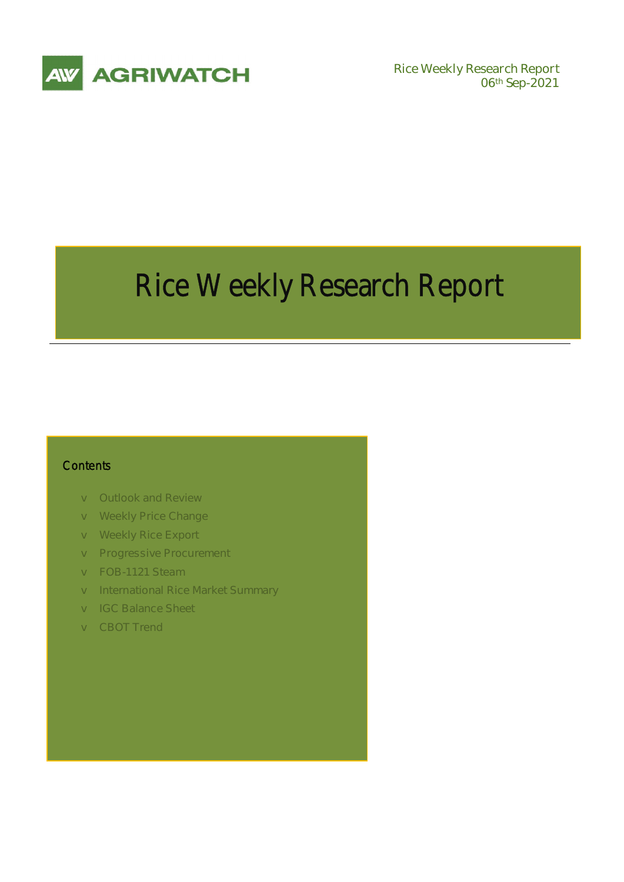

**06th Sep-2021** 

# Rice Weekly Research Report

## **Contents**

- v **Outlook and Review**
- v **Weekly Price Change**
- v **Weekly Rice Export**
- v **Progressive Procurement**
- v **FOB-1121 Steam**
- v **International Rice Market Summary**
- v **IGC Balance Sheet**
- v **CBOT Trend**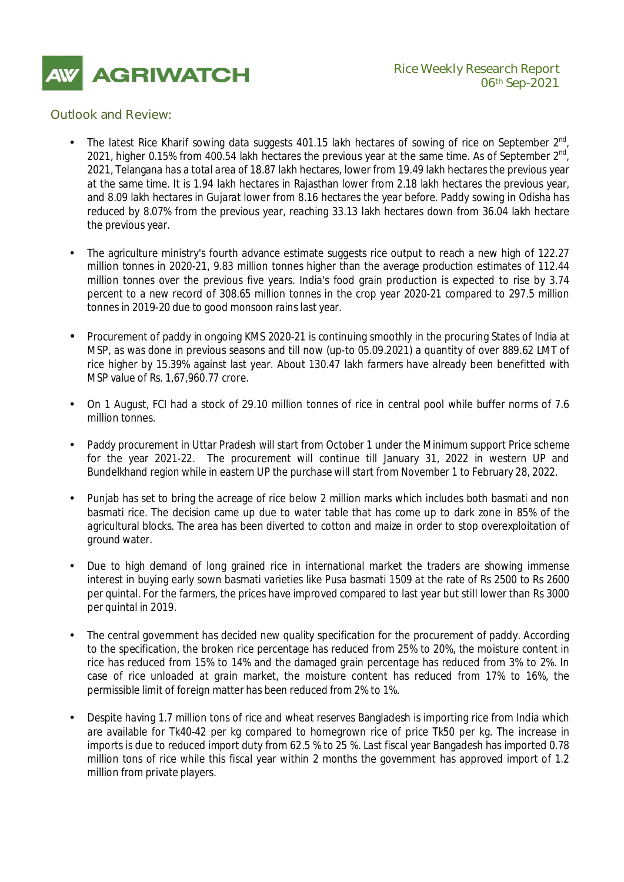

## *Outlook and Review:*

- The latest Rice Kharif sowing data suggests 401.15 lakh hectares of sowing of rice on September  $2^{nd}$ , 2021, higher 0.15% from 400.54 lakh hectares the previous year at the same time. As of September  $2^{nd}$ , 2021, Telangana has a total area of 18.87 lakh hectares, lower from 19.49 lakh hectares the previous year at the same time. It is 1.94 lakh hectares in Rajasthan lower from 2.18 lakh hectares the previous year, and 8.09 lakh hectares in Gujarat lower from 8.16 hectares the year before. Paddy sowing in Odisha has reduced by 8.07% from the previous year, reaching 33.13 lakh hectares down from 36.04 lakh hectare the previous year.
- The agriculture ministry's fourth advance estimate suggests rice output to reach a new high of 122.27 million tonnes in 2020-21, 9.83 million tonnes higher than the average production estimates of 112.44 million tonnes over the previous five years. India's food grain production is expected to rise by 3.74 percent to a new record of 308.65 million tonnes in the crop year 2020-21 compared to 297.5 million tonnes in 2019-20 due to good monsoon rains last year.
- Procurement of paddy in ongoing KMS 2020-21 is continuing smoothly in the procuring States of India at MSP, as was done in previous seasons and till now (up-to 05.09.2021) a quantity of over 889.62 LMT of rice higher by 15.39% against last year. About 130.47 lakh farmers have already been benefitted with MSP value of Rs. 1,67,960.77 crore.
- On 1 August, FCI had a stock of 29.10 million tonnes of rice in central pool while buffer norms of 7.6 million tonnes.
- Paddy procurement in Uttar Pradesh will start from October 1 under the Minimum support Price scheme for the year 2021-22. The procurement will continue till January 31, 2022 in western UP and Bundelkhand region while in eastern UP the purchase will start from November 1 to February 28, 2022.
- Punjab has set to bring the acreage of rice below 2 million marks which includes both basmati and non basmati rice. The decision came up due to water table that has come up to dark zone in 85% of the agricultural blocks. The area has been diverted to cotton and maize in order to stop overexploitation of ground water.
- Due to high demand of long grained rice in international market the traders are showing immense interest in buying early sown basmati varieties like Pusa basmati 1509 at the rate of Rs 2500 to Rs 2600 per quintal. For the farmers, the prices have improved compared to last year but still lower than Rs 3000 per quintal in 2019.
- The central government has decided new quality specification for the procurement of paddy. According to the specification, the broken rice percentage has reduced from 25% to 20%, the moisture content in rice has reduced from 15% to 14% and the damaged grain percentage has reduced from 3% to 2%. In case of rice unloaded at grain market, the moisture content has reduced from 17% to 16%, the permissible limit of foreign matter has been reduced from 2% to 1%.
- Despite having 1.7 million tons of rice and wheat reserves Bangladesh is importing rice from India which are available for Tk40-42 per kg compared to homegrown rice of price Tk50 per kg. The increase in imports is due to reduced import duty from 62.5 % to 25 %. Last fiscal year Bangadesh has imported 0.78 million tons of rice while this fiscal year within 2 months the government has approved import of 1.2 million from private players.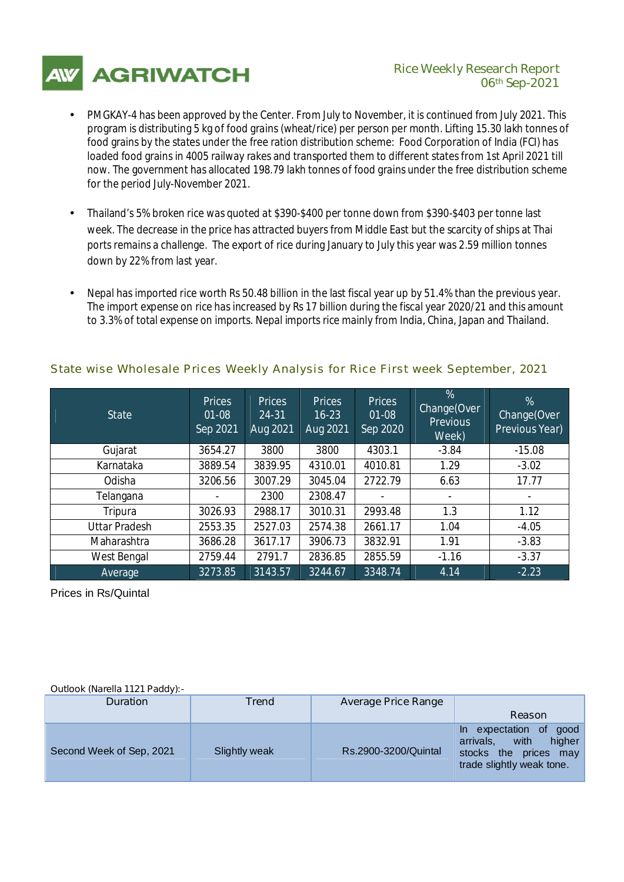

## **AGRIWATCH** Rice Weekly Research Report **06th Sep-2021**

- PMGKAY-4 has been approved by the Center. From July to November, it is continued from July 2021. This program is distributing 5 kg of food grains (wheat/rice) per person per month. Lifting 15.30 lakh tonnes of food grains by the states under the free ration distribution scheme: Food Corporation of India (FCI) has loaded food grains in 4005 railway rakes and transported them to different states from 1st April 2021 till now. The government has allocated 198.79 lakh tonnes of food grains under the free distribution scheme for the period July-November 2021.
- Thailand's 5% broken rice was quoted at \$390-\$400 per tonne down from \$390-\$403 per tonne last week. The decrease in the price has attracted buyers from Middle East but the scarcity of ships at Thai ports remains a challenge. The export of rice during January to July this year was 2.59 million tonnes down by 22% from last year.
- Nepal has imported rice worth Rs 50.48 billion in the last fiscal year up by 51.4% than the previous year. The import expense on rice has increased by Rs 17 billion during the fiscal year 2020/21 and this amount to 3.3% of total expense on imports. Nepal imports rice mainly from India, China, Japan and Thailand.

| <b>State</b>         | <b>Prices</b><br>$01 - 08$<br>Sep 2021 | <b>Prices</b><br>24-31<br>Aug 2021 | <b>Prices</b><br>$16 - 23$<br>Aug 2021 | <b>Prices</b><br>$01 - 08$<br>Sep 2020 | %<br>Change(Over<br><b>Previous</b><br>Week) | %<br>Change(Over<br><b>Previous Year)</b> |
|----------------------|----------------------------------------|------------------------------------|----------------------------------------|----------------------------------------|----------------------------------------------|-------------------------------------------|
| Gujarat              | 3654.27                                | 3800                               | 3800                                   | 4303.1                                 | $-3.84$                                      | $-15.08$                                  |
| Karnataka            | 3889.54                                | 3839.95                            | 4310.01                                | 4010.81                                | 1.29                                         | $-3.02$                                   |
| Odisha               | 3206.56                                | 3007.29                            | 3045.04                                | 2722.79                                | 6.63                                         | 17.77                                     |
| Telangana            | -                                      | 2300                               | 2308.47                                |                                        | ۰                                            |                                           |
| Tripura              | 3026.93                                | 2988.17                            | 3010.31                                | 2993.48                                | 1.3                                          | 1.12                                      |
| <b>Uttar Pradesh</b> | 2553.35                                | 2527.03                            | 2574.38                                | 2661.17                                | 1.04                                         | $-4.05$                                   |
| Maharashtra          | 3686.28                                | 3617.17                            | 3906.73                                | 3832.91                                | 1.91                                         | $-3.83$                                   |
| West Bengal          | 2759.44                                | 2791.7                             | 2836.85                                | 2855.59                                | $-1.16$                                      | $-3.37$                                   |
| Average              | 3273.85                                | 3143.57                            | 3244.67                                | 3348.74                                | 4.14                                         | $-2.23$                                   |

# *State wise Wholesale Prices Weekly Analysis for Rice First week September, 2021*

Prices in Rs/Quintal

### **Outlook (Narella 1121 Paddy):-**

| <b>Duration</b>          | Trend         | <b>Average Price Range</b> |                                                                                                                   |
|--------------------------|---------------|----------------------------|-------------------------------------------------------------------------------------------------------------------|
|                          |               |                            | Reason                                                                                                            |
| Second Week of Sep, 2021 | Slightly weak | Rs.2900-3200/Quintal       | expectation of good<br>$\ln$<br>higher<br>arrivals.<br>with<br>stocks the prices may<br>trade slightly weak tone. |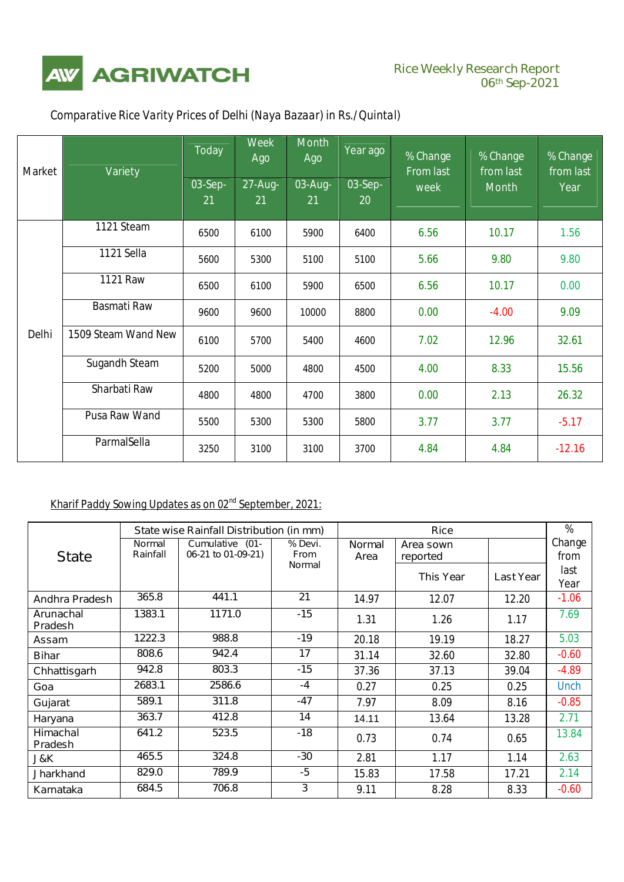

| <b>Market</b> | Variety              | <b>Today</b>  | <b>Week</b><br>Ago | <b>Month</b><br>Ago | Year ago             | % Change<br><b>From last</b> | % Change<br>from last | % Change<br>from last |
|---------------|----------------------|---------------|--------------------|---------------------|----------------------|------------------------------|-----------------------|-----------------------|
|               |                      | 03-Sep-<br>21 | 27-Aug-<br>21      | 03-Aug-<br>21       | 03-Sep-<br><b>20</b> | week                         | <b>Month</b>          | Year                  |
|               | 1121 Steam           | 6500          | 6100               | 5900                | 6400                 | 6.56                         | 10.17                 | 1.56                  |
|               | 1121 Sella           | 5600          | 5300               | 5100                | 5100                 | 5.66                         | 9.80                  | 9.80                  |
|               | <b>1121 Raw</b>      | 6500          | 6100               | 5900                | 6500                 | 6.56                         | 10.17                 | 0.00                  |
|               | <b>Basmati Raw</b>   | 9600          | 9600               | 10000               | 8800                 | 0.00                         | $-4.00$               | 9.09                  |
| Delhi         | 1509 Steam Wand New  | 6100          | 5700               | 5400                | 4600                 | 7.02                         | 12.96                 | 32.61                 |
|               | <b>Sugandh Steam</b> | 5200          | 5000               | 4800                | 4500                 | 4.00                         | 8.33                  | 15.56                 |
|               | Sharbati Raw         | 4800          | 4800               | 4700                | 3800                 | 0.00                         | 2.13                  | 26.32                 |
|               | <b>Pusa Raw Wand</b> | 5500          | 5300               | 5300                | 5800                 | 3.77                         | 3.77                  | $-5.17$               |
|               | ParmalSella          | 3250          | 3100               | 3100                | 3700                 | 4.84                         | 4.84                  | $-12.16$              |

# *Comparative Rice Varity Prices of Delhi (Naya Bazaar) in Rs./Quintal)*

# **Kharif Paddy Sowing Updates as on 02nd September, 2021:**

|                                    | State wise Rainfall Distribution (in mm)                           |        |                        |                       | <b>Rice</b>           |                  |                |  |
|------------------------------------|--------------------------------------------------------------------|--------|------------------------|-----------------------|-----------------------|------------------|----------------|--|
| <b>State</b>                       | <b>Normal</b><br>Cumulative (01-<br>06-21 to 01-09-21)<br>Rainfall |        | % Devi.<br><b>From</b> | <b>Normal</b><br>Area | Area sown<br>reported |                  | Change<br>from |  |
|                                    |                                                                    |        | <b>Normal</b>          |                       | <b>This Year</b>      | <b>Last Year</b> | last<br>Year   |  |
| Andhra Pradesh                     | 365.8                                                              | 441.1  | 21                     | 14.97                 | 12.07                 | 12.20            | $-1.06$        |  |
| <b>Arunachal</b><br><b>Pradesh</b> | 1383.1                                                             | 1171.0 | $-15$                  | 1.31                  | 1.26                  | 1.17             | 7.69           |  |
| <b>Assam</b>                       | 1222.3                                                             | 988.8  | $-19$                  | 20.18                 | 19.19                 | 18.27            | 5.03           |  |
| <b>Bihar</b>                       | 808.6                                                              | 942.4  | 17                     | 31.14                 | 32.60                 | 32.80            | $-0.60$        |  |
| Chhattisgarh                       | 942.8                                                              | 803.3  | $-15$                  | 37.36                 | 37.13                 | 39.04            | $-4.89$        |  |
| Goa                                | 2683.1                                                             | 2586.6 | -4                     | 0.27                  | 0.25                  | 0.25             | <b>Unch</b>    |  |
| Gujarat                            | 589.1                                                              | 311.8  | -47                    | 7.97                  | 8.09                  | 8.16             | $-0.85$        |  |
| Haryana                            | 363.7                                                              | 412.8  | 14                     | 14.11                 | 13.64                 | 13.28            | 2.71           |  |
| <b>Himachal</b><br><b>Pradesh</b>  | 641.2                                                              | 523.5  | $-18$                  | 0.73                  | 0.74                  | 0.65             | 13.84          |  |
| J&K                                | 465.5                                                              | 324.8  | $-30$                  | 2.81                  | 1.17                  | 1.14             | 2.63           |  |
| <b>Jharkhand</b>                   | 829.0                                                              | 789.9  | -5                     | 15.83                 | 17.58                 | 17.21            | 2.14           |  |
| Karnataka                          | 684.5                                                              | 706.8  | 3                      | 9.11                  | 8.28                  | 8.33             | $-0.60$        |  |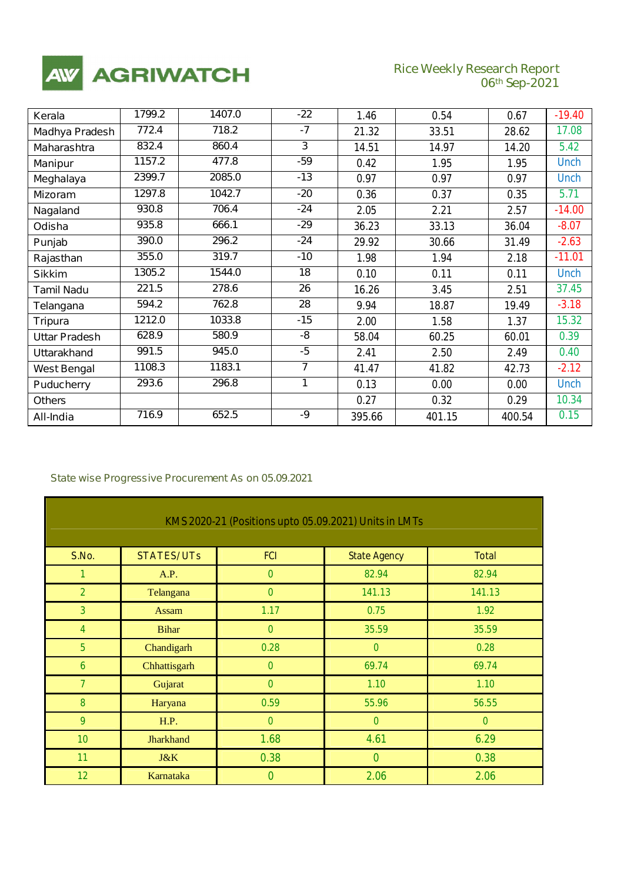

# **Rice Weekly Research Report**<br>06<sup>th</sup> Sep-2021

٦

| Kerala                | 1799.2 | 1407.0 | $-22$          | 1.46   | 0.54   | 0.67   | $-19.40$    |
|-----------------------|--------|--------|----------------|--------|--------|--------|-------------|
| <b>Madhya Pradesh</b> | 772.4  | 718.2  | $-7$           | 21.32  | 33.51  | 28.62  | 17.08       |
| <b>Maharashtra</b>    | 832.4  | 860.4  | 3              | 14.51  | 14.97  | 14.20  | 5.42        |
| <b>Manipur</b>        | 1157.2 | 477.8  | $-59$          | 0.42   | 1.95   | 1.95   | <b>Unch</b> |
| Meghalaya             | 2399.7 | 2085.0 | $-13$          | 0.97   | 0.97   | 0.97   | <b>Unch</b> |
| <b>Mizoram</b>        | 1297.8 | 1042.7 | $-20$          | 0.36   | 0.37   | 0.35   | 5.71        |
| Nagaland              | 930.8  | 706.4  | $-24$          | 2.05   | 2.21   | 2.57   | $-14.00$    |
| Odisha                | 935.8  | 666.1  | $-29$          | 36.23  | 33.13  | 36.04  | $-8.07$     |
| Punjab                | 390.0  | 296.2  | $-24$          | 29.92  | 30.66  | 31.49  | $-2.63$     |
| Rajasthan             | 355.0  | 319.7  | $-10$          | 1.98   | 1.94   | 2.18   | $-11.01$    |
| <b>Sikkim</b>         | 1305.2 | 1544.0 | 18             | 0.10   | 0.11   | 0.11   | <b>Unch</b> |
| <b>Tamil Nadu</b>     | 221.5  | 278.6  | 26             | 16.26  | 3.45   | 2.51   | 37.45       |
| Telangana             | 594.2  | 762.8  | 28             | 9.94   | 18.87  | 19.49  | $-3.18$     |
| <b>Tripura</b>        | 1212.0 | 1033.8 | $-15$          | 2.00   | 1.58   | 1.37   | 15.32       |
| <b>Uttar Pradesh</b>  | 628.9  | 580.9  | -8             | 58.04  | 60.25  | 60.01  | 0.39        |
| <b>Uttarakhand</b>    | 991.5  | 945.0  | $-5$           | 2.41   | 2.50   | 2.49   | 0.40        |
| <b>West Bengal</b>    | 1108.3 | 1183.1 | $\overline{7}$ | 41.47  | 41.82  | 42.73  | $-2.12$     |
| <b>Puducherry</b>     | 293.6  | 296.8  | 1              | 0.13   | 0.00   | 0.00   | <b>Unch</b> |
| <b>Others</b>         |        |        |                | 0.27   | 0.32   | 0.29   | 10.34       |
| All-India             | 716.9  | 652.5  | -9             | 395.66 | 401.15 | 400.54 | 0.15        |

## *State wise Progressive Procurement As on 05.09.2021*

| KMS 2020-21 (Positions upto 05.09.2021) Units in LMTs |                   |               |                     |              |  |  |  |
|-------------------------------------------------------|-------------------|---------------|---------------------|--------------|--|--|--|
|                                                       |                   |               |                     |              |  |  |  |
| S.No.                                                 | <b>STATES/UTs</b> | <b>FCI</b>    | <b>State Agency</b> | <b>Total</b> |  |  |  |
| $\mathcal I$                                          | A.P.              | $\mathcal{O}$ | 82.94               | 82.94        |  |  |  |
| $\overline{2}$                                        | Telangana         | $\mathcal O$  | 141.13              | 141.13       |  |  |  |
| $\mathcal{J}_{\mathcal{S}}$                           | <b>Assam</b>      | 1.17          | 0.75                | 1.92         |  |  |  |
| $\overline{4}$                                        | <b>Bihar</b>      | $\mathcal{O}$ | 35.59               | 35.59        |  |  |  |
| $\overline{5}$                                        | Chandigarh        | 0.28          | $\mathcal{O}$       | 0.28         |  |  |  |
| 6                                                     | Chhattisgarh      | $\mathcal{O}$ | 69.74               | 69.74        |  |  |  |
| $\mathcal{Z}$                                         | Gujarat           | $\mathcal{O}$ | 1.10                | 1.10         |  |  |  |
| 8                                                     | Haryana           | 0.59          | 55.96               | 56.55        |  |  |  |
| 9                                                     | H.P.              | $\mathcal O$  | $\mathcal O$        | $\mathcal O$ |  |  |  |
| 10                                                    | <b>Jharkhand</b>  | 1.68          | 4.61                | 6.29         |  |  |  |
| 11                                                    | J&K               | 0.38          | $\mathcal O$        | 0.38         |  |  |  |
| 12 <sup>°</sup>                                       | Karnataka         | $\mathcal O$  | 2.06                | 2.06         |  |  |  |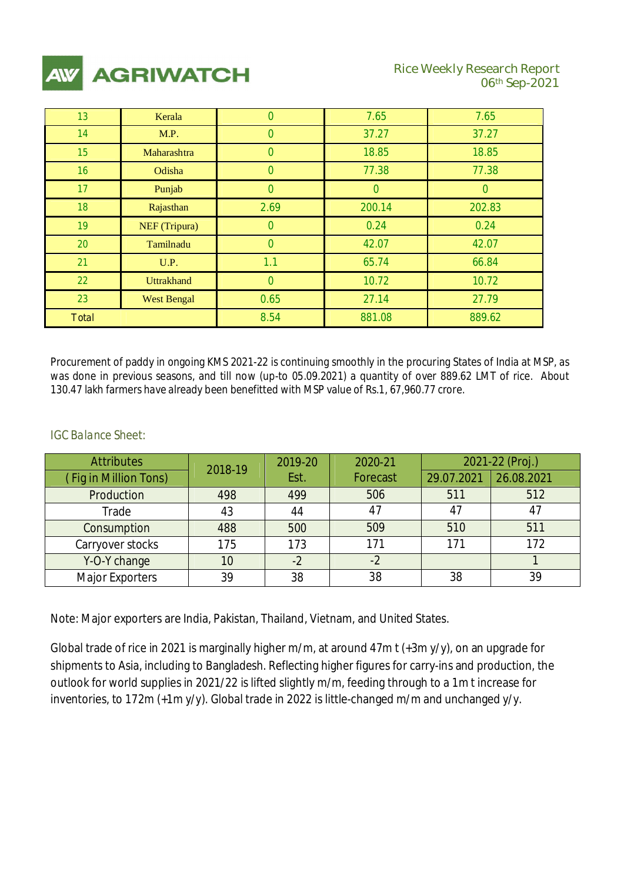

| 13              | Kerala             | 0                        | 7.65     | 7.65   |
|-----------------|--------------------|--------------------------|----------|--------|
| 14              | M.P.               | $\mathcal{O}$            | 37.27    | 37.27  |
| 15 <sup>5</sup> | Maharashtra        | $\theta$                 | 18.85    | 18.85  |
| 16 <sup>1</sup> | Odisha             | $\theta$                 | 77.38    | 77.38  |
| 17 <sup>2</sup> | Punjab             | $\overline{\mathcal{O}}$ | $\theta$ | 0      |
| 18              | Rajasthan          | 2.69                     | 200.14   | 202.83 |
| 19 <sup>°</sup> | NEF (Tripura)      | $\mathcal{O}$            | 0.24     | 0.24   |
| 20              | Tamilnadu          | $\mathcal{O}$            | 42.07    | 42.07  |
| 21              | U.P.               | 1.1                      | 65.74    | 66.84  |
| 22              | <b>Uttrakhand</b>  | $\mathcal{O}$            | 10.72    | 10.72  |
| 23              | <b>West Bengal</b> | 0.65                     | 27.14    | 27.79  |
| <b>Total</b>    |                    | 8.54                     | 881.08   | 889.62 |

Procurement of paddy in ongoing KMS 2021-22 is continuing smoothly in the procuring States of India at MSP, as was done in previous seasons, and till now (up-to 05.09.2021) a quantity of over 889.62 LMT of rice. About 130.47 lakh farmers have already been benefitted with MSP value of Rs.1, 67,960.77 crore.

# *IGC Balance Sheet:*

| <b>Attributes</b>     | 2018-19 | 2019-20 | 2020-21         |            | 2021-22 (Proj.) |
|-----------------------|---------|---------|-----------------|------------|-----------------|
| (Fig in Million Tons) |         | Est.    | <b>Forecast</b> | 29.07.2021 | 26.08.2021      |
| Production            | 498     | 499     | 506             | 511        | 512             |
| Trade                 | 43      | 44      | 47              |            | 47              |
| Consumption           | 488     | 500     | 509             | 510        | 511             |
| Carryover stocks      | 175     | 173     | 171             | 171        | 172             |
| Y-O-Y change          | 10      | $-2$    | $-2$            |            |                 |
| Major Exporters       | 39      | 38      | 38              | 38         | 39              |

Note: Major exporters are India, Pakistan, Thailand, Vietnam, and United States.

Global trade of rice in 2021 is marginally higher m/m, at around 47m t (+3m y/y), on an upgrade for shipments to Asia, including to Bangladesh. Reflecting higher figures for carry-ins and production, the outlook for world supplies in 2021/22 is lifted slightly m/m, feeding through to a 1m t increase for inventories, to 172m (+1m y/y). Global trade in 2022 is little-changed m/m and unchanged y/y.